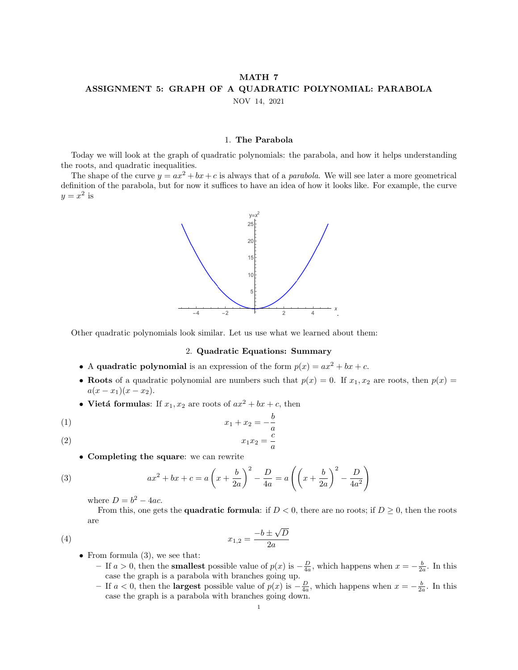## MATH 7 ASSIGNMENT 5: GRAPH OF A QUADRATIC POLYNOMIAL: PARABOLA

NOV 14, 2021

## 1. The Parabola

Today we will look at the graph of quadratic polynomials: the parabola, and how it helps understanding the roots, and quadratic inequalities.

The shape of the curve  $y = ax^2 + bx + c$  is always that of a *parabola*. We will see later a more geometrical definition of the parabola, but for now it suffices to have an idea of how it looks like. For example, the curve  $y = x^2$  is



Other quadratic polynomials look similar. Let us use what we learned about them:

## 2. Quadratic Equations: Summary

- A quadratic polynomial is an expression of the form  $p(x) = ax^2 + bx + c$ .
- Roots of a quadratic polynomial are numbers such that  $p(x) = 0$ . If  $x_1, x_2$  are roots, then  $p(x) = 0$  $a(x-x_1)(x-x_2).$
- Vietá formulas: If  $x_1, x_2$  are roots of  $ax^2 + bx + c$ , then

$$
(1) \qquad \qquad x_1 + x_2 = -\frac{b}{a}
$$
\n
$$
(2) \qquad \qquad x_1 x_2 = \frac{c}{a}
$$

$$
(2)
$$

• Completing the square: we can rewrite

(3) 
$$
ax^{2} + bx + c = a\left(x + \frac{b}{2a}\right)^{2} - \frac{D}{4a} = a\left(\left(x + \frac{b}{2a}\right)^{2} - \frac{D}{4a^{2}}\right)
$$

where  $D = b^2 - 4ac$ .

From this, one gets the **quadratic formula**: if  $D < 0$ , there are no roots; if  $D \geq 0$ , then the roots are √

D

a

$$
(4) \t\t\t x_{1,2} = \frac{-b \pm \sqrt{a}}{2a}
$$

- From formula  $(3)$ , we see that:
	- − If  $a > 0$ , then the **smallest** possible value of  $p(x)$  is  $-\frac{D}{4a}$ , which happens when  $x = -\frac{b}{2a}$ . In this case the graph is a parabola with branches going up.
	- If  $a < 0$ , then the **largest** possible value of  $p(x)$  is  $-\frac{D}{4a}$ , which happens when  $x = -\frac{b}{2a}$ . In this case the graph is a parabola with branches going down.